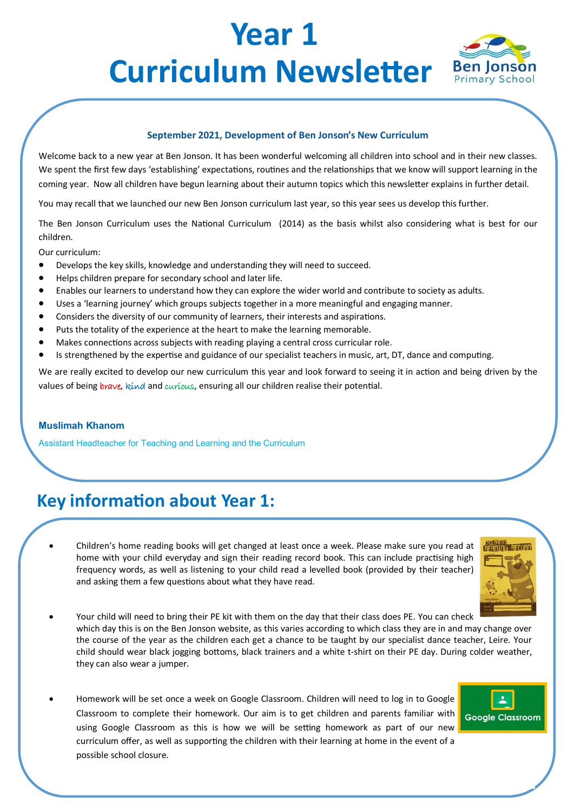# **Year 1 Curriculum Newsletter** Ben Jonson



#### **September 2021, Development of Ben Jonson's New Curriculum**

Welcome back to a new year at Ben Jonson. It has been wonderful welcoming all children into school and in their new classes. We spent the first few days 'establishing' expectations, routines and the relationships that we know will support learning in the coming year. Now all children have begun learning about their autumn topics which this newsletter explains in further detail.

You may recall that we launched our new Ben Jonson curriculum last year, so this year sees us develop this further.

The Ben Jonson Curriculum uses the National Curriculum (2014) as the basis whilst also considering what is best for our children.

Our curriculum:

- Develops the key skills, knowledge and understanding they will need to succeed.
- Helps children prepare for secondary school and later life.
- Enables our learners to understand how they can explore the wider world and contribute to society as adults.
- Uses a 'learning journey' which groups subjects together in a more meaningful and engaging manner.
- Considers the diversity of our community of learners, their interests and aspirations.
- Puts the totality of the experience at the heart to make the learning memorable.
- Makes connections across subjects with reading playing a central cross curricular role.
- Is strengthened by the expertise and guidance of our specialist teachers in music, art, DT, dance and computing.

We are really excited to develop our new curriculum this year and look forward to seeing it in action and being driven by the values of being brave, kind and curious, ensuring all our children realise their potential.

#### **Muslimah Khanom**

Assistant Headteacher for Teaching and Learning and the Curriculum

### **Key information about Year 1:**

• Children's home reading books will get changed at least once a week. Please make sure you read at home with your child everyday and sign their reading record book. This can include practising high frequency words, as well as listening to your child read a levelled book (provided by their teacher) and asking them a few questions about what they have read.



- Your child will need to bring their PE kit with them on the day that their class does PE. You can check which day this is on the Ben Jonson website, as this varies according to which class they are in and may change over the course of the year as the children each get a chance to be taught by our specialist dance teacher, Leire. Your child should wear black jogging bottoms, black trainers and a white t-shirt on their PE day. During colder weather, they can also wear a jumper.
- Homework will be set once a week on Google Classroom. Children will need to log in to Google Classroom to complete their homework. Our aim is to get children and parents familiar with using Google Classroom as this is how we will be setting homework as part of our new curriculum offer, as well as supporting the children with their learning at home in the event of a possible school closure.